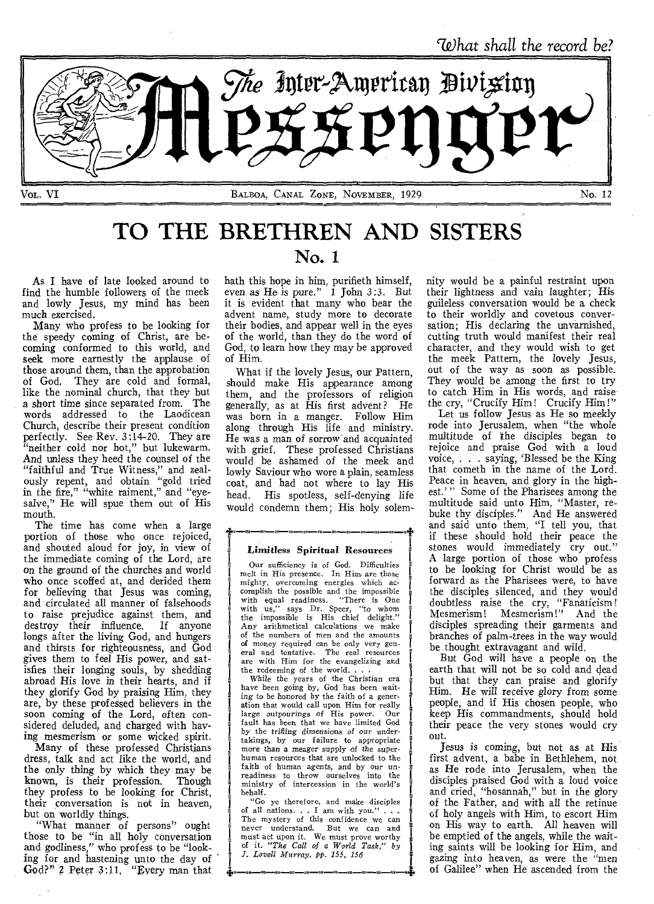

# **TO THE BRETHREN AND SISTERS**

As I have of late looked around to find the humble followers of the meek and lowly Jesus, my mind has been much exercised.

Many who profess to be looking for the speedy coming of Christ, are becoming conformed to this world, and seek more earnestly the applause of those around them, than the approbation of God. They are cold and formal, like the nominal church, that they but a short time since separated from. The words addressed to the Laodicean Church, describe their present condition perfectly. See Rev. 3:14-20. They are 'neither cold nor hot," but lukewarm. And unless they heed the counsel of the "faithful and True Witness," and zealously repent, and obtain "gold tried in the fire," "white raiment," and "eyesalve," He will spue them out of His mouth.

The time has come when a large portion of those who once rejoiced, and shouted aloud for joy, in view of the immediate coming of the Lord, are on the ground of the churches and world who once scoffed at, and derided them for believing that Jesus was coming, and circulated all manner of falsehoods to raise prejudice against them, and destroy their influence. If anyone longs after the living God, and hungers and thirsts for righteousness, and God gives them to feel His power, and satisfies their longing souls, by shedding abroad His love in their hearts, and if they glorify God by praising Him, they are, by these professed believers in the soon coming of the Lord, often considered deluded, and charged with having mesmerism or some wicked spirit.

Many of these professed Christians dress, talk and act like the world, and the only thing by which they may be known, is their profession. Though they profess to be looking for Christ, their conversation is not in heaven, but on worldly things.

"What manner of persons" ought those to be "in all holy conversation and godliness," who profess to be "looking for and hastening unto the day of God?" 2 Peter 3:11. "Every man that

# No. 1

hath this hope in him, purifieth himself, even as He is pure." 1 John 3:3. But it is evident that many who bear the advent name, study more to decorate their bodies, and appear well in the eyes of the world, than they do the word of God, to learn how they may be approved of Him.

What if the lovely Jesus, our Pattern, should make His appearance among them, and the professors of religion generally, as at His first advent? He was born in a manger. Follow Him along through His life and ministry. He was a man of sorrow and acquainted with grief. These professed Christians would be ashamed of the meek and lowly Saviour who wore a plain, seamless coat, and had not where to lay His head. His spotless, self-denying life would condemn them; His holy solem-

### Limitless Spiritual Resources

f

Our sufficiency is of God. Difficulties melt in His presence. In Him are those mighty, overcoming energies which accomplish the possible and the impossible with equal readiness. "There is One with us," says Dr. Speer, "to whom the impossible is His chief delight." Any arithmetical calculations we make of the numbers of men and the amounts of money required can be only very gen-eral and tentative. The real resources eral and tentative. The real resources are with Him for the evangelizing and the redeeming of the world. . .

While the years of the Christian era have been going by, God has been wait-<br>ing to be honored by the faith of a generation that would call upon Him for really<br>large outpourings of His nower. Our large outpourings of His power. fault has been that we have limited God by the *trilling* dimensions *of* our undertakings, by our failure to appropriate more than a meager supply of the superhuman resources that are unlocked to the faith of human agents, and by our unreadiness to throw ourselves into the ministry of intercession in the world's behalf.

"Go ye therefore, and make disciples of all nations. . I am with you." . . . The mystery of this confidence we can never understand. But we can and must act upon it. We must prove worthy of it. *"The Call of a World Task," by .1. Lovell Murray, pp. 155, 156* 

nity would be a painful restraint upon their lightness and vain laughter; His guileless conversation would be a check to their worldly and covetous conversation; His declaring the unvarnished, cutting truth would manifest their real character, and they would wish to get the meek Pattern, the lovely Jesus, out of the way as soon as possible. They would be among the first to try to catch Him in His words, and raise the cry, "Crucify Him! Crucify Him!"

Let us follow Jesus as He so meekly rode into Jerusalem, when "the whole multitude of the disciples began to rejoice and praise God with a loud voice, . . . saying, 'Blessed be the King that cometh in the name of the Lord. Peace in heaven, and glory in the highest.'" Some of the Pharisees among the multitude said unto Him, "Master, rebuke thy disciples." And He answered and said unto them, "I tell you, that if these should hold their peace the stones would immediately cry out." A large portion of those who profess to be looking for Christ would be as forward as the Pharisees were, to have the disciples silenced, and they would doubtless raise the cry, "Fanaticism! Mesmerism! Mesmerism!" And the disciples spreading their garments and branches of palm-trees in the way would be thought extravagant and wild.

But God will have a people on the earth that will not be so cold and dead but that they can praise and glorify Him. He will receive glory from some people, and if His chosen people, who keep His commandments, should hold their peace the very stones would cry out.

Jesus is coming, but not as at His first advent, a babe in Bethlehem, not as He rode into Jerusalem, when the disciples praised God with a loud voice and cried, "hosannah," but in the glory of the Father, and with all the retinue of holy angels with Him, to escort Him on His way to earth. All heaven will be emptied of the angels, while the waiting saints will be looking for Him, and *gazing* into heaven, as were the "men of Galilee" when He ascended from the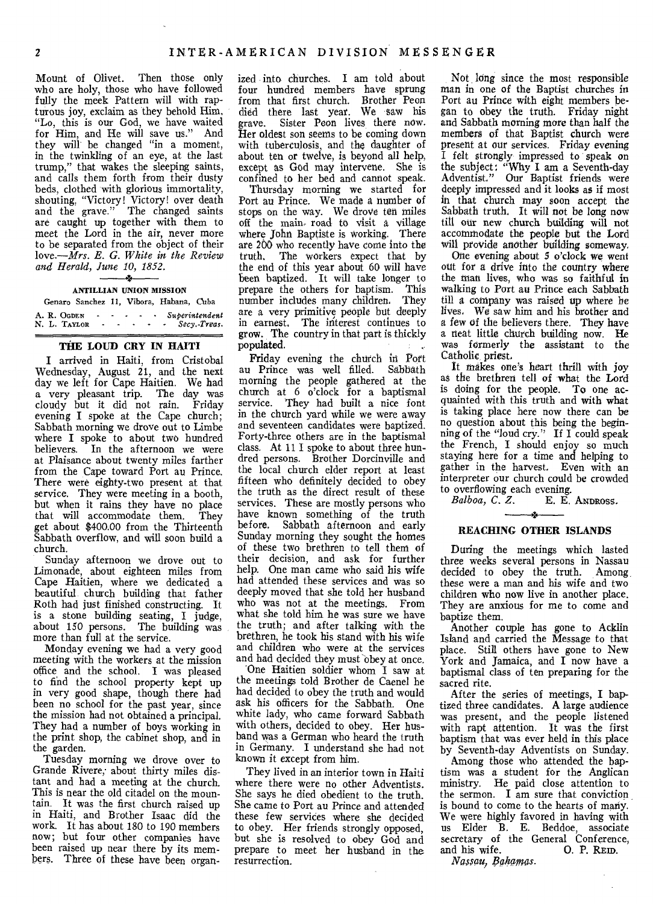Mount of Olivet. Then those only who are holy, those who have followed fully the meek Pattern will with rapturous joy, exclaim as they behold Him, "Lo, this is our God, we have waited for Him, and He will save us." And they will be changed "in a moment, in the twinkling of an eye, at the last trump," that wakes the sleeping saints, and calls them forth from their dusty beds, clothed with glorious immortality, shouting, "Victory! Victory! over death and the grave." The changed saints are caught up together with them to meet the Lord in the air, never more to be separated from the object of their *love.—Mrs. E. G. White in the Review and Herald, June 10, 1852.* 

# **ANTILLIAN UNION MISSION**

#### Genaro Sanchez 11, Vibora, Habana, Cuba

|  | A. R. OGDEN  | $\sim$ 100 $\mu$     | $\sim$ |  |  | Superintendent    |
|--|--------------|----------------------|--------|--|--|-------------------|
|  | N. L. TAYLOR | $\ddot{\phantom{1}}$ |        |  |  | $   Secy.-Treas.$ |

## **THE LOUD CRY IN HAITI**

**I** arrived in Haiti, from Cristobal Wednesday, August 21, and the next day we left for Cape Haitien. We had a very pleasant trip. The day was cloudy but it did not rain. Friday evening I spoke at the Cape church; Sabbath morning we drove out to Limbe where I spoke to about two hundred believers. In the afternoon we were at Plaisance about twenty miles farther from the Cape toward Port au Prince. There were eighty-two present at that service. They were meeting in a booth, but when it rains they have no place that will accommodate them. They that will accommodate them. get about \$400.00 from the Thirteenth Sabbath overflow, and will soon build a church.

Sunday afternoon we drove out to Limonade, about eighteen miles from Cape Haitien, where we dedicated a beautiful church building that father Roth had just finished constructing. It is a stone building seating, I judge, about 150 persons. The building was more than full at the service.

Monday evening we had a very good meeting with the workers at the mission office and the school. I was pleased to find the school property kept up in very good shape, though there had been no school for the past year, since the mission had not obtained a principal. They had a number of boys working in the print shop, the cabinet shop, and in the garden.

Tuesday morning we drove over to Grande Rivere; about thirty miles distant and had a meeting at the church. This is near the old citadel on the mountain. It was the first church raised up in Haiti, and Brother Isaac did the work. It has about 180 to 190 members now; but four other companies have been raised up near there by its members. Three of these have been organized into, churches. I am told about four hundred members have sprung from that first church. Brother Peon died there last year. We saw his<br>grave. Sister Peon lives there now. Sister Peon lives there now. Her oldest son seems to be coming down with tuberculosis, and the daughter of about ten or twelve, is beyond all help, except as God may intervene. She is confined to her bed and cannot speak.

Thursday morning we started for Port au Prince. We made a number of stops on the way. We drove ten miles off the main- road to visit a village where John Baptiste is working. There are 200 who recently have come into the<br>truth. The workers expect that by The workers expect that by the end of this year about 60 will have been baptized. It will take longer to prepare the others for baptism. This number includes many children. They are a very primitive people but deeply in earnest. The interest continues to grow. The country in that part is thickly populated.

Friday evening the church in Port au Prince was well filled. Sabbath morning the people gathered at the church at 6 o'clock for a baptismal service. They had built a nice font in the church yard while we were away and seventeen candidates were baptized. Forty-three others are in the baptismal class. At 11 I spoke to about three hundred persons. Brother Dorcinville and the local church elder report at least fifteen who definitely decided to obey the truth as the direct result of these services. These are mostly persons who have known something of the truth before. Sabbath afternoon and early Sunday morning they sought the homes of these two brethren to tell them of their decision, and ask for further help. One man came who said his wife had attended these services and was so deeply moved that she told her husband who was not at the meetings. From what she told him he was sure we have the truth; and after talking with the brethren, he took his stand with his wife and children who were at the services and had decided they must obey at once.

'One Haitien soldier whom I saw at the meetings told Brother de Caenel he had decided to obey the truth and would ask his officers for the Sabbath. One white lady, who came forward Sabbath with others, decided to obey. Her husband was a German who heard the truth in Germany. I understand she had not known it except from him.

They lived in an interior town in Haiti where there were no other Adventists. She says he died obedient to the truth. She came to Port au Prince and attended these few services where she decided to obey. Her friends strongly opposed, but she is resolved to obey God and prepare to meet her husband in the resurrection.

Not long since the most responsible man in one of the Baptist churches in Port au Prince with eight members began to obey the truth. Friday night and Sabbath morning more than half the members of that Baptist church were present at our services. Friday evening I felt strongly impressed to speak on the subject: "Why I am a Seventh-day Adventist." Our Baptist friends were deeply impressed and it looks as if most in that church may soon accept the Sabbath truth, It will not be long now till our new church building will not accommodate the people but the Lord will provide another building someway,

One evening about 5 o'clock we went out for a drive into the country where the man lives, who was so faithful in walking to Port au Prince each Sabbath till a company was raised up where be lives. We saw him and his brother and a few of the believers there. They have a neat little church building now. He was formerly the assistant to the Catholic, priest,

It makes one's heart thrill with joy as the brethren tell of what the Lord is doing for the people. To one acquainted with this truth and with what is taking place here now there can be no question about this being the beginning of the "loud cry." If I could speak the French, I should enjoy so much staying here for a time and helping to gather in the harvest. Even with an interpreter our church could be crowded to overflowing each evening.

*Balboa, C. Z.* E. E. **ANDROSS.** 

#### **REACHING OTHER ISLANDS**

During the meetings which lasted three weeks several persons in Nassau decided to obey the truth. Among, these were a man and his wife and two children who now live in another place. They are anxious for me to come and baptize them.

Another couple has gone to Acklin Island and carried the Message to that place. Still others have gone to New York and Jamaica, and I now have a baptismal class of ten preparing for the sacred rite.

After the series of meetings, I baptized three candidates. A large audience was present, and the people listened with rapt attention. It was the first baptism that was ever held in this place by Seventh-day Adventists on Sunday.

Among those who attended the baptism was a student for the Anglican ministry. He paid close attention to the sermon. I am sure that conviction is bound to come to the hearts of many. We were highly favored in having with us Elder B. E. Beddoe, associate secretary of the General Conference, and his wife. 0. P. **REID.** 

 $N$ assau, Bahamas.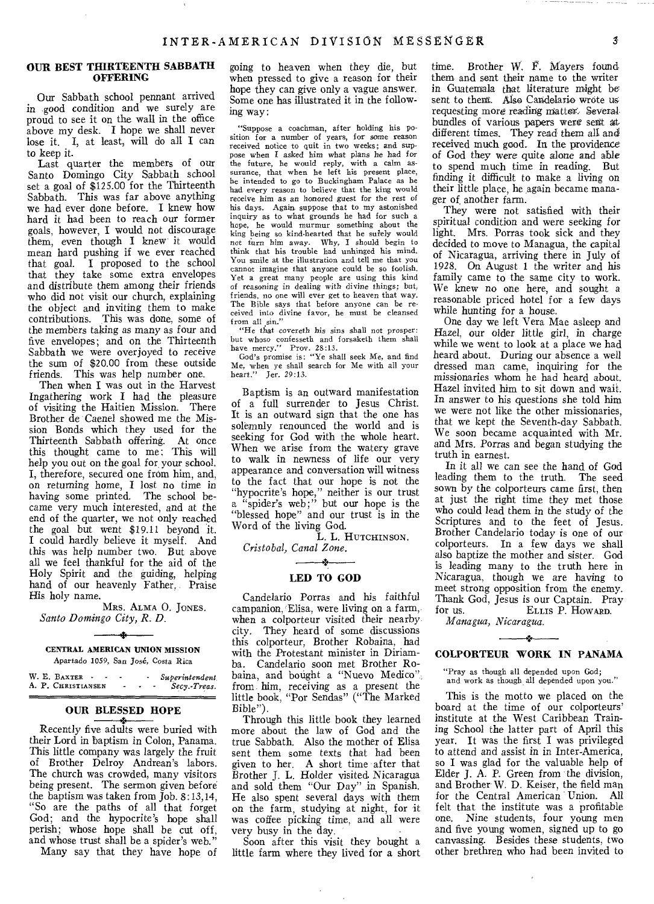#### **OUR BEST THIRTEENTH SABBATH OFFERING**

Our Sabbath school pennant arrived in good condition and we surely are proud to see it on the wall in the office above my desk. I hope we shall never lose it. I, at least, will do all I can to keep it.

Last quarter the members of our Santo Domingo City Sabbath school set a goal of \$125.00 for the Thirteenth Sabbath. This was far above anything we had ever done before. I knew how hard it had been to reach our former goals, however, I would not discourage them, even though I knew it would mean hard pushing if we ever reached that goal. I proposed to the school that they take some extra envelopes and distribute them among their friends who did not visit our church, explaining the object and inviting them to make contributions. This was done, some of the members taking as many as four and five envelopes; and on the Thirteenth Sabbath we were overjoyed to receive the sum of \$20.00 from these outside friends. This was help number one.

Then when I was out in the Harvest Ingathering work I had the pleasure of visiting the Haitien Mission. There Brother de Caenel showed me the Mission Bonds which they used for the Thirteenth Sabbath offering. At once this thought came to me: This will help you out on the goal for your school. I, therefore, secured one from him, and, on returning home, I lost no time in having some printed. The school became very much interested, and at the end of the quarter, we not only reached the goal but went \$19.11 beyond it. I could hardly believe it myself. And this was help number two. But above all we feel thankful for the aid of the Holy Spirit and the guiding, helping hand of our heavenly Father, Praise His holy name.

MRS. ALMA 0. JONES. *Santo Domingo City, R. D.* 

CENTRAL AMERICAN UNION MISSION Apartado 1059, San Jose, Costa Rica

W. E. BAXTER - - - - *Superintendent*  A. P. CHRISTIANSEN ' *Secy.-Treas.* 

# **OUR BLESSED HOPE**

Recently five adults were buried with their Lord in baptism in Colon, Panama. This little company was largely the fruit of Brother Delroy Andrean's labors. The church was crowded, many visitors being present. The sermon given before the baptism was taken from Job. 8:13,14, "So are the paths of all that forget God; and the hypocrite's hope shall perish; whose hope shall be cut off, and whose trust shall be a spider's web."

Many say that they have hope of

going to heaven when they die, but when pressed to give a reason for their hope they can give only a vague answer. Some one has illustrated it in the following way:

"Suppose a coachman, after holding his position for a number of years, for some reason received notice to quit in two weeks; and suppose when I asked him what plans he had for the future, he would reply, with a calm as-surance, that when he left his present place, he intended to go to Buckingham Palace as he had every reason to believe that the king would receive him as an honored guest *for* the rest of his days. Again suppose that to my astonished inquiry as to what grounds he had for such a hope, he would murmur something about the king being so kind-hearted that he surely would not turn him away. Why, I should begin to think that his trouble had unhinged his mind. You smile at the illustration and tell me that you cannot imagine that anyone could be so foolish. Yet *a* great many people are using this kind *of* reasoning in dealing with *divine* things; but; friends, no one will ever get to heaven that way. The Bible says that before anyone can be received into divine favor, he must be cleansed from all sin."

"He that covereth his sins shall not prosper: but whoso confesseth and f orsaketh them shall have mercy." Prov. 28:13. God's promise is: "Ye shall seek Me, and find<br>God's promise is: "Ye shall seek Me, and find

Me, when ye shall search for Me with all your heart." Jer. 29:13.

Baptism is an outward manifestation of a full surrender to Jesus Christ. It is an outward sign that the one has solemnly renounced the world and is seeking for God with the whole heart. When we arise from the watery grave to walk in newness of life our very appearance and conversation will witness to the fact that our hope is not the "hypocrite's hope," neither is our trust a "spider's web;" but our hope is the "blessed hope" and our trust is in the Word of the living God.

L. L. HUTCHINSON. *Cristobal, Canal Zone.* 

 $\longrightarrow$ 

# **LED TO GOD**

Candelario Porras and his faithful campanion, Elisa, were living on a farm, when a colporteur visited their nearby city. They heard of some discussions this colporteur, Brother Robaina, had with the Protestant minister in Diriamba. Candelario soon met Brother Robaina, and bought a "Nuevo Medico" from him, receiving as a present the little book, "Por Sendas" ("The Marked Bible").

Through this little book they learned more about the law of God and the true Sabbath. Also the mother of Elisa sent them some texts that had been given to her. A short time after that Brother J. L. Holder visited. Nicaragua and sold them "Our Day" in Spanish. He also spent several days with them on the farm, studying at night, for it was coffee picking time, and all were very busy in the day.

Soon after this visit they bought a little farm where they lived for a short time. Brother W. F. Mayers foundthem and sent their name to the writer in Guatemala that literature might be sent to them. Also Candelario wrote us requesting more reading matter'. Several bundles of various papers were sent at different *times.* They read them all and received much good. In the providence of God they *were* quite alone and able to spend much time in reading. But finding it difficult to make a *living* on their little place, he again became manager of another farm.

They were not satisfied with their spiritual condition and were seeking for light. Mrs. Porras took sick and they decided to move to Managua, the capital of Nicaragua, arriving there in July of 1928. On August 1 the writer and his family came to the same city to work. We knew no one here, and sought a reasonable priced hotel for a few days while hunting for a house.

One day we left Vera Mae asleep and Hazel, our older little girl, in charge while we went to look at a place we had heard about. During our absence a well dressed man came, inquiring for the missionaries whom he had heard about. Hazel invited him to sit down and wait. In answer to his questions she told him we were not like the other missionaries, that we kept the Seventh-day Sabbath. We soon became acquainted with Mr. and Mrs. Porras and began studying the truth in earnest.

In it all we can see the hand of God leading them to the truth. The seed sown by the colporteurs came first, then at just the right time they met those who could lead them in the study of the Scriptures and to the feet of Jesus. Brother Candelario today is one of our colporteurs. In a few days we shall also baptize the mother and sister. God is leading many to the truth here in Nicaragua, though we are having to meet strong opposition from the enemy. Thank God, Jesus is our Captain. Pray ELLIS P. HOWARD.

*Managua, Nicaragua.* 

# $\rightarrow$ **COLPORTEUR WORK IN PANAMA**

"Pray as though all depended upon God; and work as though all depended upon you."

This is the motto we placed on the board at the *time* of our colporteurs' institute at the West Caribbean Training School the latter part of April this year. It was the first I was privileged to attend and assist in in Inter-America, so I was glad for the valuable help of Elder J. A. P. Green from the division, and Brother W. D. Keiser, the field man for the Central American Union. All felt that the institute was a profitable one. Nine students, four young men and five young women, signed up to go canvassing. Besides these students, two other brethren who had been invited to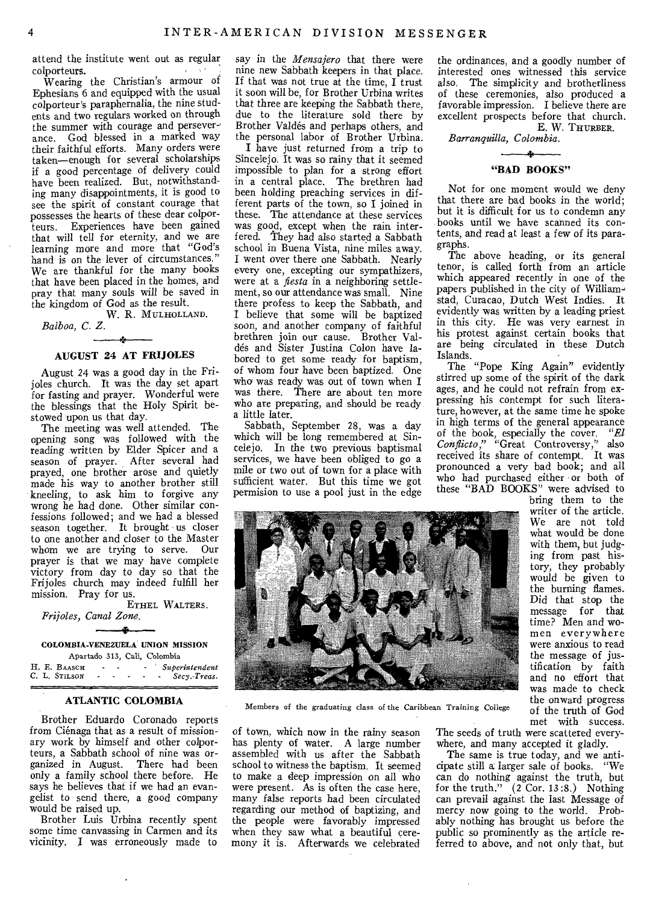attend the institute went out as regular colporteurs.

Wearing the Christian's armour of Ephesians 6 and equipped with the usual colporteur's paraphernalia, the nine students and two regulars worked on through the summer with courage and perseverance. God blessed in a marked way their faithful efforts. Many orders were taken—enough for several scholarships if a good percentage of delivery could have been realized. But, notwithstanding many disappointments, it is good to see the spirit of constant courage that possesses the hearts of these dear colporteurs. Experiences have been gained that will tell for eternity, and we are learning more and more that "God's hand is on the lever of circumstances." We are thankful for the many books that have been placed in the homes, and pray that many souls will be saved in the kingdom of God as the result.

W. R. MULHOLLAND.

# *Balboa, C. Z.*

# 一条 **AUGUST 24 AT FRIJOLES**

August 24 was a good day in the Frijoles church. It was the day set apart for fasting and prayer. Wonderful were the blessings that the Holy Spirit bestowed upon us that day.

The meeting was well attended. The opening song was followed with the reading written by Elder Spicer and a season of prayer. After several had prayed, one brother arose and quietly made his way to another brother still kneeling, to ask him to forgive any wrong he had done. Other similar confessions followed; and we had a blessed season together. It brought us closer to one another and closer to the Master whom we are trying to serve. Our prayer is that we may have complete victory from day to day so that the Frijoles church may indeed fulfill her mission. Pray for us.

ETHEL WALTERS. *Frijoles, Canal Zone.*  ÷

COLOMBIA•VENEZUELA UNION MISSION Apartado 313, Cali, Colombia

H. E. BAASCH - - *Superintendent*  C. L. STILSON *Secy.-Treas.* 

#### ATLANTIC COLOMBIA

Brother Eduardo Coronado reports from Ciénaga that as a result of missionary work by himself and other colporteurs, a Sabbath school of nine was organized in August. There had been only a family school there before. He says he believes that if we had an evangelist to send there, a good company would be raised up.

Brother Luis Urbina recently spent some time canvassing in Carmen and its vicinity. I was erroneously made to say in the *Mensajero* that there were nine new Sabbath keepers in that place. If that was not true at the time, I trust it soon will be, for Brother Urbina writes that three are keeping the Sabbath there, due to the literature sold there by Brother Valdes and perhaps others, and the personal labor of Brother Urbina.

I have just returned from a trip to Sincelejo. It was so rainy that it seemed impossible to plan for a strong effort in a central place. The brethren had been holding preaching services in different parts of the town, so I joined in these. The attendance at these services was good, except when the rain interfered. They had also started a Sabbath school in Buena Vista, nine miles away. I went over there one Sabbath. Nearly every one, excepting our sympathizers, were at a *fiesta* in a neighboring settlement, so our attendance was small. Nine there profess to keep the Sabbath, and I believe that some will be baptized soon, and another company of faithful brethren join our cause. Brother Valdes and Sister Justina Colon have labored to get some ready for baptism, of whom four have been baptized. One who was ready was out of town when I was there. There are about ten more who are preparing, and should be ready a little later.

Sabbath, September 28, was a day which will be long remembered at Sincelejo. In the two previous baptismal services, we have been obliged to go a mile or two out of town for a place with sufficient water. But this time we got permision to use a pool just in the edge



Members of the graduating class of the Caribbean Training College

of town, which now in the rainy season has plenty of water. A large number assembled with us after the Sabbath school to witness the baptism. It seemed to make a deep impression on all who were present. As is often the case here, many false reports had been circulated regarding our method of baptizing, and the people were favorably impressed when they saw what a beautiful ceremony it is. Afterwards we celebrated

the ordinances, and a goodly number of interested ones witnessed this service also. The simplicity and brotherliness of these ceremonies, also produced a favorable impression. I believe there are excellent prospects before that church. E. W. THURBER.

*Barranquilla, Colombia.* 

 $-$ 

# **"BAD BOOKS"**

Not for one moment would we deny that there are bad books in the world; but it is difficult for us to condemn any books until we have scanned its contents, and read at least a few of its paragraphs.

The above heading, or its general tenor, is called forth from an article which appeared recently in one of the papers published in the city of Williamstad, Curacao, Dutch West Indies. It evidently was written by a leading priest in this city. He was very earnest in his protest against certain books that are being circulated in these Dutch Islands.

The "Pope King Again" evidently stirred up some of the spirit of the dark ages, and he could not refrain from expressing his contempt for such literature, however, at the same time he spoke in high terms of the general appearance of the book, especially the cover. *"El Conflicto,"* "Great Controversy," also received its share of contempt. It was pronounced a very bad book; and all who had purchased either or both of these "BAD BOOKS" were advised to

bring them to the writer of the article. We are not told what would be done with them, but judging from past history, they probably would be given to the burning flames. Did that stop the message for that time? Men and women everywhere were anxious to read the message of justification by faith and no effort that was made to check the onward progress of the truth of God met with success.

The seeds of truth were scattered everywhere, and many accepted it gladly.

The same is true today, and we anticipate still a larger sale of books. "We can do nothing against the truth, but for the truth." (2 Cor. 13:8.) Nothing can prevail against the last Message of mercy now going to the world. Probably nothing has brought us before the public so prominently as the article referred to above, and not only that, but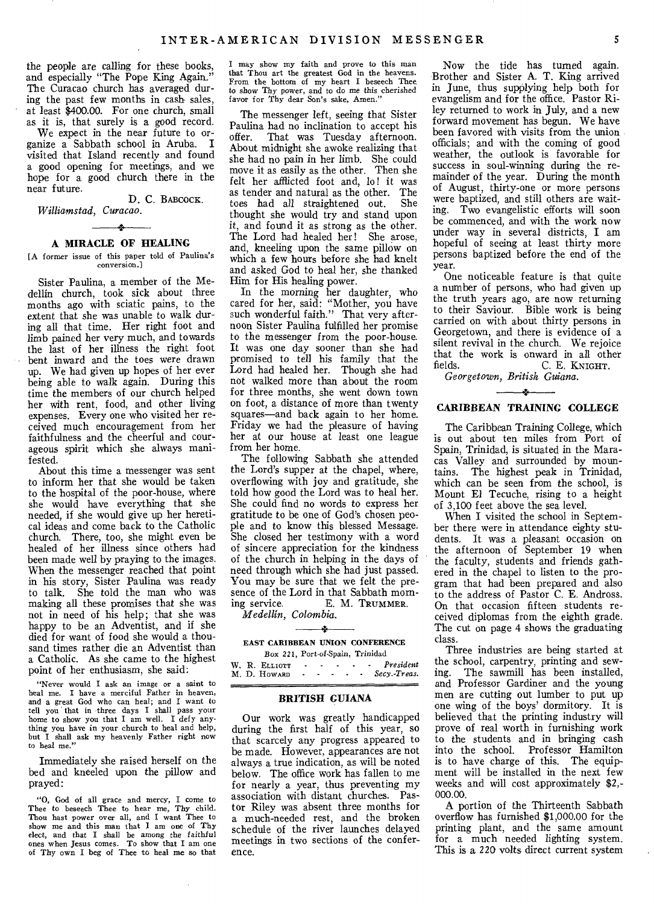the people are calling for these books, and especially "The Pope King Again." The Curacao church has averaged during the past few months in cash sales. at least \$400.00. For one church, small as it is, that surely is a good record.

We expect in the near future to organize a Sabbath school in Aruba. I visited that Island recently and found a good opening for meetings, and we hope for a good church there in the near future.

**D.** C. BABCOCK. *Williamstad, Curacao.* 

# سعد A **MIRACLE OF HEALING**

[A former issue of this paper told of Paulina's conversion.]

Sister Paulina, a member of the Medellin church, took sick about three months ago with sciatic pains, to the extent that she was unable to walk during all that time. Her right foot and limb pained her very much, and towards the last of her illness the right foot bent inward and the toes were drawn up. We had given up hopes of her ever being able to walk again. During this time the members of our church helped her with rent, food, and other living expenses. Every one who visited her received much encouragement from her faithfulness and the cheerful and courageous spirit which she always manifested.

About this time a messenger was sent to inform her that she would be taken to the hospital of the poor-house, where she would have everything that she needed, if she would give up her heretical ideas and come back to the Catholic church. There, too, she might even be healed of her illness since others had been made well by praying to the images. When the messenger reached that point in his story, Sister Paulina was ready to talk. She told the man who was making all these promises that she was not in need of his help; that she was happy to be an Adventist, and if she died for want of food she would a thousand times rather die an Adventist than a Catholic. As she came to the highest point of her enthusiasm, she said:

"Never would I ask an image or a saint to heal me. I have a merciful Father in heaven, and a great God who can heal; and I want to tell you that in three days I shall pass your home to show you that I am well. I defy anything you have in your church to heal and help, but I shall ask my heavenly Father right now to heat me."

Immediately she raised herself on the bed and kneeled upon the pillow and prayed:

"0, God of all grace and mercy, I come to Thee to beseech Thee to hear me, Thy child. Thou hast power over all, and I want Thee to show me and this man that I am one of Thy elect, and that I shall be among the faithful ones when Jesus comes. To show that I am one of Thy own I beg of Thee to heal me so that

I may show my faith and prove to this man that Thou art the greatest God in the heavens. From the bottom of my heart I beseech Thee to show Thy power, and to do me this cherished favor for Thy dear Son's sake, Amen."

The messenger left, seeing that Sister Paulina had no inclination to accept his<br>offer That was Tuesday afternoon That was Tuesday afternoon. About midnight she awoke realizing that she had no pain in her limb. She could move it as easily as the other. Then she felt her afflicted foot and, lo! it was as tender and natural as the other. The<br>toes had all straightened out She toes had all straightened out. thought she would try and stand upon it, and found it as strong as the other. The Lord had healed her! She arose, and, kneeling upon the same pillow on which a few hours before she had knelt and asked God to heal her, she thanked Him for His healing power.

In the morning her daughter, who cared for her, said: "Mother, you have such wonderful faith." That very afternoon Sister Paulina fulfilled her promise to the messenger from the poor-house. It was one day sooner than she had promised to tell his family that the Lord had healed her. Though she had not walked more than about the room for three months, she went down town on foot, a distance of more than twenty squares—and back again to her home. Friday we had the pleasure of having her at our house at least one league from her home.

The following Sabbath she attended the Lord's supper at the chapel, where, overflowing with joy and gratitude, she told how good the Lord was to heal her. She could find no words to express her gratitude to be one of God's chosen people and to know this blessed Message. She closed her testimony with a word of sincere appreciation for the kindness of the church in helping in the days of need through which she had just passed. You may be sure that we felt the presence of the Lord in that Sabbath morn-<br>ing service. E. M. TRUMMER. E. M. TRUMMER.

*Medellin, Colombia.* 

#### - 2 EAST CARIBBEAN UNION CONFERENCE Box 221, Port-of-Spain, Trinidad

W. R. ELLIOTT *President*  M. D. HOWARD *Secy.•Treas.* 

### **BRITISH GUIANA**

Our work was greatly handicapped during the first half of this year, so that scarcely any progress appeared to be made. However, appearances are not always a true indication, as will be noted below. The office work has fallen to me for nearly a year, thus preventing my association with distant churches. Pastor Riley was absent three months for a much-needed rest, and the broken schedule of the river launches delayed meetings in two sections of the conference.

Now the tide has turned again. Brother and Sister A. T. King arrived in June, thus supplying help both for evangelism and for the office. Pastor Riley returned to work in July, and a new forward movement has begun. We have been favored with visits from the union officials; and with the coming of good weather, the outlook is favorable for success in soul-winning during the remainder of the year. During the month of August, thirty-one or more persons were baptized, and still others are waiting. Two evangelistic efforts will soon be commenced, and with the work now under way in several districts, I am hopeful of seeing at least thirty more persons baptized before the end of the year.

One noticeable feature is that quite a number of persons, who had given up the truth years ago, are now returning to their Saviour. Bible work is being carried on with about thirty persons in Georgetown, and there is evidence of a silent revival in the church. We rejoice that the work is onward in all other fields  $C \nvert K_{\text{NLCHT}}$ C. E. KNIGHT.

*Georgetown, British Guiana.* 

#### $\overline{\phantom{a}}$

#### **CARIBBEAN TRAINING COLLEGE**

The Caribbean Training College, which is out about ten miles from Port of Spain, Trinidad, is situated in the Maracas Valley and surrounded by mountains. The highest peak in Trinidad, which can be seen from the school, is Mount El Tecuche, rising to a height of 3,100 feet above the sea level.

When I visited the school in September there were in attendance eighty students. It was a pleasant occasion on the afternoon of September 19 when the faculty, students and friends gathered in the chapel to listen to the program that had been prepared and also to the address of Pastor C. E. Andross. On that occasion fifteen students received diplomas from the eighth grade. The cut on page 4 shows the graduating class.

Three industries are being started at the school, carpentry, printing and sewing. The sawmill has been installed, and Professor Gardiner and the young men are cutting out lumber to put up one wing of the boys' dormitory. It is believed that the printing industry will prove of real worth in furnishing work to the students and in bringing cash into the school. Professor Hamilton is to have charge of this. The equipment will be installed in the next few weeks and will cost approximately \$2,- 000.00.

A portion of the Thirteenth Sabbath overflow has furnished \$1,000.00 for the printing plant, and the same amount for a much needed lighting system. This is a 220 volts direct current system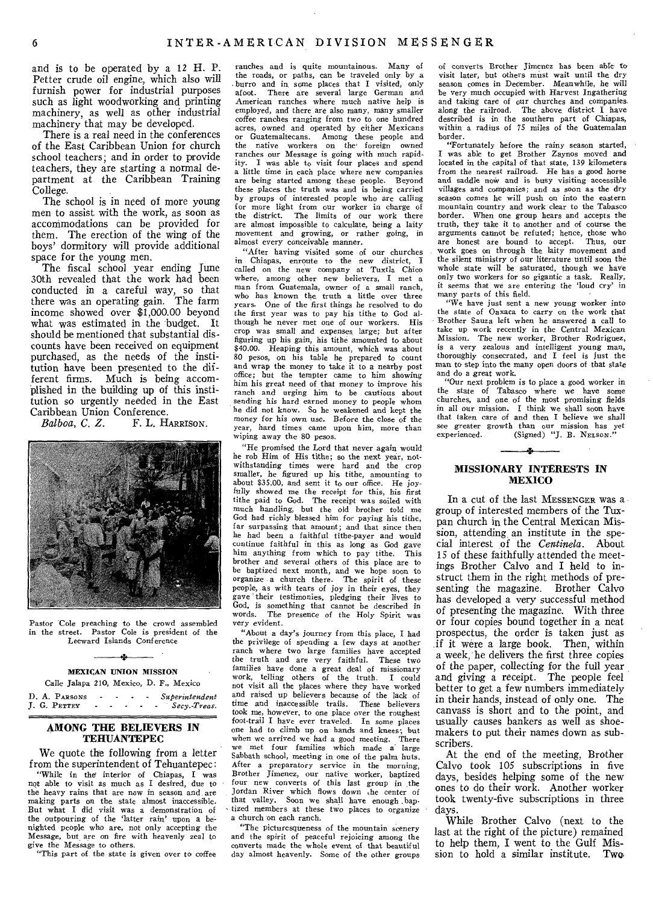and is to be operated by a 12 H. P. Petter crude oil engine, which also will furnish power for industrial purposes such as light woodworking and printing machinery, as well as other industrial, machinery that may be developed.

There is a real need in the conferences of the East Caribbean Union for church school teachers; and in order to provide teachers, they are starting a normal department at the Caribbean Training College.

The school is in need of more young men to assist with the work, as soon as accommodations can be provided for them. The erection of the wing of the boys' dormitory will provide additional space for the young men.

The fiscal school year ending June 30th revealed that the work had been conducted in a careful way, so that there was an operating gain. The farm income showed over \$1,000.00 beyond what was estimated in the budget. It should be mentioned that substantial discounts have been received on equipment purchased, as the needs of the institution have been presented to the different firms. Much is being accomplished in the building up of this institution so urgently needed in the East Caribbean Union Conference.<br>Balboa, C. Z. F. L. H.

F. L. HARRISON.



Pastor Cole preaching to the crowd assembled in the street. Pastor Cole is president of the Leeward Islands Conference

# $-1$ MEXICAN UNION MISSION

Calle Jalapa 210, Mexico, D. F., Mexico

D. A. PARSONS - - - - *Superintendent* **J. G. PETTEY** - - - - - *Secy.-Treas.* J. G. PETTEY **Section**  $\cdot$  **Section**  $\cdot$  **Section**  $\cdot$  **Section**  $\cdot$  **Section**  $\cdot$  **Section**  $\cdot$  **Section**  $\cdot$  **Section**  $\cdot$  **Section**  $\cdot$  **Section**  $\cdot$  **Section**  $\cdot$  **Section**  $\cdot$  **Section**  $\cdot$  **Section**  $\cdot$ 

#### AMONG THE BELIEVERS IN TEHUANTEPEC

We quote the following from a letter from the superintendent of Tehuantepec: "While in the interior of Chiapas, I was not able to visit as much as I desired, due to the heavy rains that are now in season and are making parts on the state almost inaccessible. But what I did visit was a demonstration of the outpouring of the 'latter rain' upon a benighted people who are, not only accepting the Message, but, are on fire with heavenly zeal to give the Message to others.

"This part of the state is given over to coffee

ranches and is quite mountainous. Many of the roads, or paths, can be traveled only by a burro and in some places that I visited, only afoot. There are several large German and There are several large German and American ranches where much native help is employed, and there are also many, many smaller coffee ranches ranging from two to one hundred acres, owned and operated by either Mexicans or Guatemaltecans. Among these people and the native workers on the foreign owned ranches our Message is going with much rapid-<br>ity. I was able to visit four places and spend I was able to visit four places and spend a little time in each place where new companies are being started among these people. Beyond these places the truth was and is being carried by groups of interested people who are calling for more light from our worker in charge of the district. The limits of our work there are almost impossible to calculate, being a laity movement and growing, or rather going, in almost every conceivable manner.

"After having visited some of our churches in Chiapas, enroute to the new district, I called on the new company at Tuxtla Chico where, among other new believers, I met a man from Guatemala, owner of a small ranch, who has known the truth a little over three years. One of the first things he resolved to do the first year was to pay his tithe to God although he never met one of our workers. His crop was small and expenses large; but after figuring up his gain, his tithe amounted to about \$40.00. Heaping this amount, which was about 80 pesos, on his table he prepared to count and wrap the money to take it to a nearby post office; but the tempter came to him showing him his great need of that money to improve his ranch and urging him to be cautious about sending his hard earned money to people whom he did not know. So he weakened and kept the money for his own use. Before the close of the year, hard times came upon him, more than wiping away the 80 pesos.

"He promised the Lord that never again would he rob Him of His tithe; so the next year, notwithstanding times were hard and the crop smaller, he figured up his tithe, amounting to about \$35.00, and sent it to our office. He joyfully showed me the receipt for this, his first tithe paid to God. The receipt was soiled with much handling, but the old brother told me God had richly blessed him for paying his tithe, far surpassing that amount; and that since then he had been a faithful tithe-payer and would continue faithful in this as long as God gave him anything from which to pay tithe. This brother and several others of this place are to be baptized next month, and we hope soon to organize a church there. The spirit of these people, as with tears of joy in their eyes, they gave 'their testimonies, pledging their lives to God, is something that cannot be described in words. The presence of the Holy Spirit was very evident.

"About a day's journey from this place, I had the privilege of spending a few days at another ranch where two large families have accepted the truth and are very faithful. These two families have done a great deal of missionary work, telling others of the truth. I could not visit all the places where they have worked and raised up believers because of the lack of time and inaccessible trails. These believers took me, however, to one place over the roughest foot-trail I have ever traveled. In some places one had to climb up on hands and knees; but when we arrived we had a good meeting. There we met four families which made a' large Sabbath school, meeting in one of the palm huts. After a preparatory service in the morning, Brother Jimenez, our native worker, baptized four new converts of this last group in the Jordan River which flows down the center of that valley. Soon we shall have enough ,baptized members at these two places to organize a church on each ranch.

"The picturesqueness of the mountain scenery and the spirit of peaceful rejoicing among the converts made the whole event of that beautiful day almost heavenly. Some of the other groups of converts Brother Jimenez has been able to visit later, but others must wait until the dry season comes in December. Meanwhile, he will be very much occupied with Harvest Ingathering and taking care of our churches and companies along the railroad. The above district I have described is in the southern part of Chiapas, within a radius of 75 miles of the Guatemalan border.

"Fortunately before the rainy season started, I was able to get Brother Zaynos moved and located in the capital of that state, 139 kilometers from the nearest railroad. He has a good horse and saddle now and is busy visiting accessible villages and companies; and as soon as the dry season comes he will push on into the eastern mountain country and work clear to the Tabasco border. When one group hears and accepts the truth, they take it to another and of course the arguments cannot be refuted; hence, those who<br>are honest are bound to accent. Thus, our are honest are bound to accept. work goes on through the laity movement and the silent ministry of our literature until soon the whole state will be saturated, though we have only two workers for so gigantic a task. Really, it seems that we are entering the 'loud cry' in many parts of this field.

"We have just sent a new young worker into the state of Oaxaca to carry on the work that Brother Sauza left when he answered a call to take up work recently in the Central Mexican Mission. The new worker, Brother Rodriguez, is a very zealous and intelligent young man, thoroughly consecrated, and I feel is just the man to step into the many open doors of that state and do a great work.

"Our next problem is to place a good worker in the state of Tabasco where we have some churches, and one of the most promising fields in all our mission. I think we shall soon have that taken care of and then I believe we shall see greater growth than our mission has yet experienced. (Signed) "J. B. NELSON."

# MISSIONARY INTERESTS IN MEXICO

In a cut of the last MESSENGER was a group of interested members of the Tuxpan church in the Central Mexican Mission, attending, an institute in the special interest of the *Centinela.* About 15 of these faithfully attended the meetings Brother Calvo and I held to instruct them in the right methods of presenting the magazine. Brother Calvo has developed a very successful method of presenting the magazine. With three or four copies bound together in a neat prospectus, the order is taken just as if it were a large book. Then, within a week, he delivers the first three copies of the paper, collecting for the full year and giving a receipt. The people feel better to get a few numbers immediately in their hands, instead of only one. The canvass is short and to the point, and usually causes bankers as well as shoemakers to put their names down as subscribers.

At the end of the meeting, Brother Calvo took 105 subscriptions in five days, besides helping some of the new ones to do their work. Another worker took twenty-five subscriptions in three days.

While Brother Calvo (next to the last at the right of the picture) remained to help them, I went to the Gulf Mission to hold a similar institute. Two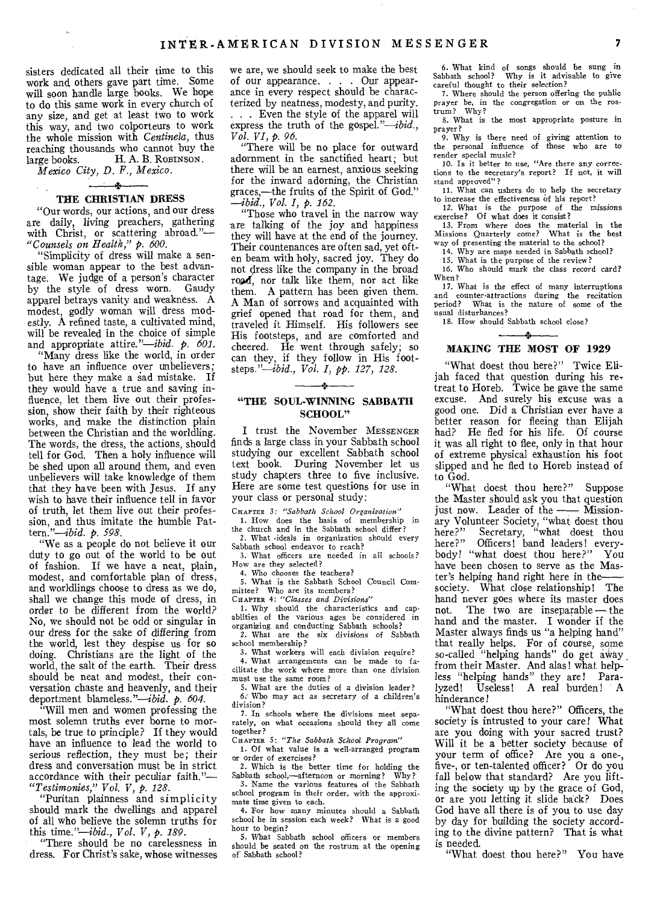sisters dedicated all their time to this work and others gave part time. Some will soon handle large books. We hope to do this same work in every church of any size, and get at least two to work this way, and two colporteurs to work the whole mission with *Centinela,* thus reaching thousands who cannot buy the large books. H. A. B. ROBINSON.

*Mexico City, D. F., Mexico.* 

# THE CHRISTIAN DRESS

"Our words, our actions, and our dress are daily, living preachers, gathering with Christ, or scattering abroad."-*"Counsels on Health," p. 600.* 

"Simplicity of dress will make a sensible woman appear to the best advantage. We judge of a person's character by the style of dress worn. Gaudy apparel betrays vanity and weakness. A modest, godly woman will dress modestly. A refined taste, a cultivated mind, will be revealed in the choice of simple and appropriate *attire."-ibid. p. 601.* 

"Many dress like the world, in order to have an influence over unbelievers; but here they make a sad mistake. If they would have a true and saving influence, let them live out their profession, show their faith by their righteous works, and make the distinction plain between the Christian and the worldling. The words, the dress, the actions, should tell for God. Then a holy influence will be shed upon all around them, and even unbelievers will take knowledge of them that they have been with Jesus. If any wish to have their influence tell in favor of truth, let them live out their profession, and thus imitate the humble Pattern."-ibid. *p. 598.* 

"We as a people do not believe it our duty to go out of the world to be out of fashion. If we have a neat, plain, modest, and comfortable plan of dress, and worldlings choose to dress as we do, shall we change this mode of dress, in order to be different from the world? No, we should not be odd or singular in our dress for the sake of differing from the world, lest they despise us for so doing. Christians are the light of the world, the salt of the earth. Their dress should be neat and modest, their conversation chaste and heavenly, and their deportment blameless."-*ibid.* p. 604.

"Will men and women professing the most solemn truths ever borne to mortals, be true to principle? If they would have an influence to lead the world to serious reflection, they must be; their dress and conversation must be in strict accordance with their peculiar faith."-*"Testimonies," Vol. V, p. 128.* 

"Puritan plainness and simplicity should mark the dwellings and apparel of all who believe the solemn truths for this *time."-ibid., Vol. V, p. 189.* 

"There should be no carelessness in dress. For Christ's sake, whose witnesses

we are, we should seek to make the best of our appearance. . . . Our appearance in every respect should be characterized by neatness, modesty, and purity. . . Even the style of the apparel will express the truth of the gospel."-ibid., *Vol. VI, p. 96.* 

"There will be no place for outward adornment in the sanctified heart; but there will be an earnest, anxious seeking for the inward adorning, the Christian graces,-the fruits of the Spirit of God." *-ibid., Vol. I, p. 162.* 

"Those who travel in the narrow way are talking of the joy and happiness they will have at the end of the journey. Their countenances are often sad, yet often beam with holy, sacred joy. They do not dress Iike the company in the broad road, nor talk like them, nor act like them. A pattern has been given them. A Man of sorrows and acquainted with grief opened that road for them, and traveled it Himself. His followers see His footsteps, and are comforted and cheered. He went through safely; so can they, if they follow in His footsteps."-ibid., *Vol. 1, pp. 127, 128.* 

### "THE SOUL-WINNING SABBATH SCHOOL"

I trust the November MESSENGER finds a large class in your Sabbath school studying our excellent Sabbath school text book. During November let us study chapters three to five inclusive. Here are some test questions for use in your class or personal study:

CHAPTER *3: "Sabbath School Organization"*  1. How does the basis of membership in the church and in the Sabbath school differ?

2. What •ideals in organization should every Sabbath school endeavor to reach?

3. What officers are needed in all schools? How are they selected?

4. Who chooses the teachers?

5. What is the Sabbath School Council Committee? Who are its members?

CHAPTER 4: *"Classes and Divisions"*  1. Why should the characteristics and cap-ablities of the various ages be considered in organizing and conducting Sabbath schools?

2. What are the six divisions of Sabbath school membership?

3. What workers will each division require? 4. What arrangements can be made to facilitate the work where more than one division

must use the same room? 5. What are the duties of a division leader?

6: Who may act as secretary of a children's division? 7. In schools where the divisions meet sepa-

rately, on what occasions should they all come together?

CHAPTER 5: *"The Sabbath School Program"*  1. Of what value is a well-arranged program

or order of exercises? 2. Which is the better time for holding the

Sabbath school,-afternoon or morning? Why? 3. Name the various features of the Sabbath school program in their order, with the approxi-

mate time given to each. 4. For how many minutes should a Sabbath school be in session each week? What is a good hour to begin?

5. What Sabbath school officers or members should be seated on the rostrum at the opening of Sabbath school?

6. What kind of songs should be sung in Sabbath school? Why is it advisable to give careful thought to their selection?

7. Where should the person offering the public prayer be, in the congregation or on the rostrum? Why?

8. What is the most appropriate posture in prayer?

9. Why is there need of giving attention to the personal influence of those who are to render special music?

10. Is it better to use, "Are there any corrections to the secretary's report? If not, it will stand approved"?

11. What can ushers do to help the secretary to increase the effectiveness of his report?

12. What is the purpose of the *missions*  exercise? Of what does it consist?

13. From where does the material in the Missions Quarterly come? What is the best way of presenting the material to the school?

14. Why are maps needed in Sabbath school?

15. What is the purpose of the review? 16. Who should mark the class record card? When?

17. What is the effect of many interruptions and counter-attractions during the recitation counter-attractions during the recitation period? What is the nature of some of the usual disturbances?

18. How should Sabbath school close?  $\star$ 

#### MAKING THE MOST OF 1929

"What doest thou here?" Twice Elijah faced that question during his re-, treat to Horeb. Twice he gave the same excuse. And surely his excuse was a good one. Did a Christian ever have a better reason for fleeing than Elijah had? He fled for his life. Of course it was all right to flee, only in that hour of extreme physical exhaustion his foot slipped and he fled to Horeb instead of to God.

"What doest thou here?" Suppose the Master should ask you that question just now. Leader of the  $\text{---}$  Missionary Volunteer Society, "what doest thou here?" Secretary, "what doest thou here?" Officers! band leaders! everybody! "what doest thou here?" You have been chosen to serve as the Master's helping hand right here in thesociety. What close relationship! The hand never goes where its master does<br>not. The two are inseparable — the The two are inseparable  $-$  the hand and the master. I wonder if the Master always finds us "a helping hand" that really helps. For of course, some so-called "helping hands" do get away from their Master. And alas! what helpless "helping hands" they are! Paralyzed! Useless! A real burden! A hinderance!

"What doest thou here?" Officers, the society is intrusted to your care! What are you doing with your sacred trust? Will it be a better society because of your term of office? Are you a one-, five-, or ten-talented officer? Or do you fall below that standard? Are you lifting the society up by the grace of God, or are you letting it slide back? Does God have all there is of you to use day by day for building the society according to the divine pattern? That is what is needed.

"What doest thou here?" You have